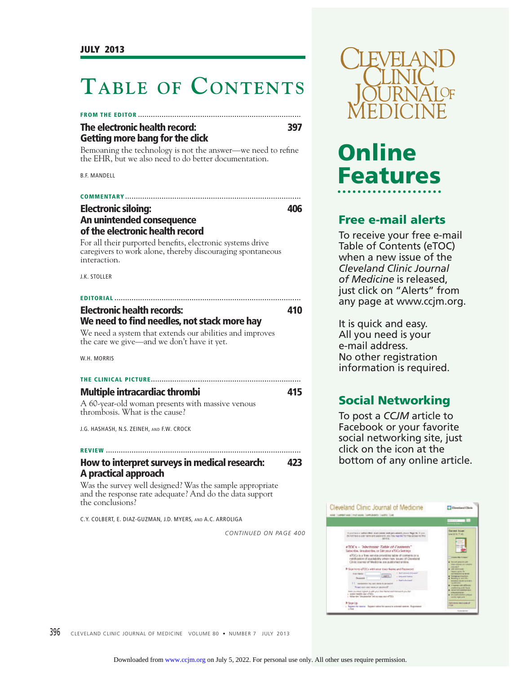# **TABLE OF CONTENTS**

| The electronic health record: | 397 |
|-------------------------------|-----|

**Getting more bang for the click**

Bemoaning the technology is not the answer—we need to refine the EHR, but we also need to do better documentation.

B.F. MANDELL

| <b>COMMENTARY</b>                                          |     |
|------------------------------------------------------------|-----|
| <b>Electronic siloing:</b>                                 | 406 |
| An unintended consequence                                  |     |
| of the electronic health record                            |     |
| For all their purported benefits, electronic systems drive |     |
| caregivers to work alone, thereby discouraging spontaneous |     |
| interaction.                                               |     |

J.K. STOLLER

## **EDITORIAL ....................................................................................... Electronic health records: 410**

# We need to find needles, not stack more hay

We need a system that extends our abilities and improves the care we give—and we don't have it yet.

W.H. MORRIS

# **THE CLINICAL PICTURE ...................................................................... Multiple intracardiac thrombi 415**

A 60-year-old woman presents with massive venous thrombosis. What is the cause?

J.G. HASHASH, N.S. ZEINEH, AND F.W. CROCK

# **REVIEW ...........................................................................................**

# **How to interpret surveys in medical research: 423 A practical approach**

Was the survey well designed? Was the sample appropriate and the response rate adequate? And do the data support the conclusions?

C.Y. COLBERT, E. DIAZ-GUZMAN, J.D. MYERS, AND A.C. ARROLIGA

*CONTINUED ON PAGE 400*



# Online **Features Features**

# **Free e-mail alerts**

To receive your free e-mail Table of Contents (eTOC) when a new issue of the *Cleveland Clinic Journal of Medicine* is released, just click on "Alerts" from any page at www.ccjm.org.

It is quick and easy. All you need is your e-mail address. No other registration information is required.

**Social Networking** To post a *CCJM* article to Facebook or your favorite social networking site, just click on the icon at the bottom of any online article.